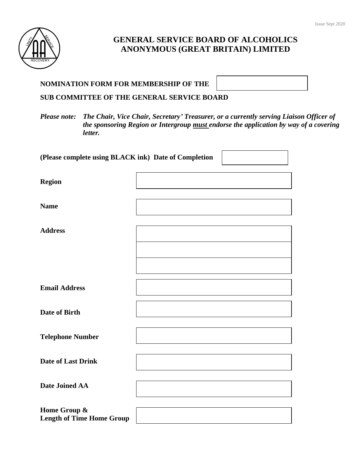

# **GENERAL SERVICE BOARD OF ALCOHOLICS ANONYMOUS (GREAT BRITAIN) LIMITED**

| <b>NOMINATION FORM FOR MEMBERSHIP OF THE</b> |
|----------------------------------------------|
|----------------------------------------------|

**SUB COMMITTEE OF THE GENERAL SERVICE BOARD**

*Please note: The Chair, Vice Chair, Secretary' Treasurer, or a currently serving Liaison Officer of the sponsoring Region or Intergroup must endorse the application by way of a covering letter.*

| (Please complete using BLACK ink) Date of Completion |  |
|------------------------------------------------------|--|
| <b>Region</b>                                        |  |
| <b>Name</b>                                          |  |
| <b>Address</b>                                       |  |
|                                                      |  |
| <b>Email Address</b>                                 |  |
| Date of Birth                                        |  |
| <b>Telephone Number</b>                              |  |
| <b>Date of Last Drink</b>                            |  |
| Date Joined AA                                       |  |
| Home Group &<br><b>Length of Time Home Group</b>     |  |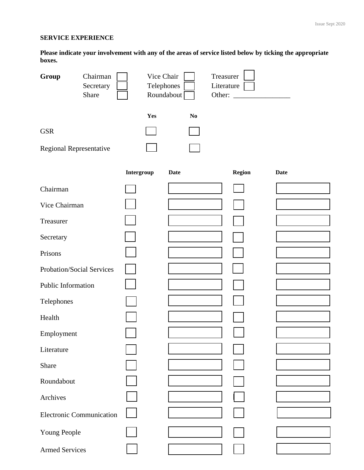#### **SERVICE EXPERIENCE**

**Please indicate your involvement with any of the areas of service listed below by ticking the appropriate boxes.**

| Group                           | Chairman<br>Secretary<br>Share | Vice Chair<br>Telephones | Treasurer<br>Literature<br>Roundabout<br>Other: |        |             |
|---------------------------------|--------------------------------|--------------------------|-------------------------------------------------|--------|-------------|
| <b>GSR</b>                      |                                | Yes                      | N <sub>0</sub>                                  |        |             |
|                                 |                                |                          |                                                 |        |             |
| Regional Representative         |                                |                          |                                                 |        |             |
|                                 |                                | Intergroup               | <b>Date</b>                                     | Region | <b>Date</b> |
| Chairman                        |                                |                          |                                                 |        |             |
| Vice Chairman                   |                                |                          |                                                 |        |             |
| Treasurer                       |                                |                          |                                                 |        |             |
| Secretary                       |                                |                          |                                                 |        |             |
| Prisons                         |                                |                          |                                                 |        |             |
| Probation/Social Services       |                                |                          |                                                 |        |             |
| Public Information              |                                |                          |                                                 |        |             |
| Telephones                      |                                |                          |                                                 |        |             |
| Health                          |                                |                          |                                                 |        |             |
| Employment                      |                                |                          |                                                 |        |             |
| Literature                      |                                |                          |                                                 |        |             |
| Share                           |                                |                          |                                                 |        |             |
| Roundabout                      |                                |                          |                                                 |        |             |
| Archives                        |                                |                          |                                                 |        |             |
| <b>Electronic Communication</b> |                                |                          |                                                 |        |             |
| Young People                    |                                |                          |                                                 |        |             |
| <b>Armed Services</b>           |                                |                          |                                                 |        |             |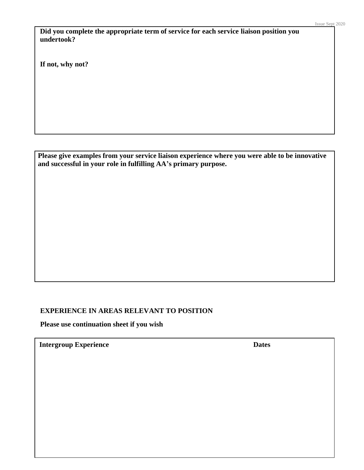**Did you complete the appropriate term of service for each service liaison position you undertook?**

**If not, why not?**

**Please give examples from your service liaison experience where you were able to be innovative and successful in your role in fulfilling AA's primary purpose.**

### **EXPERIENCE IN AREAS RELEVANT TO POSITION**

**Please use continuation sheet if you wish**

**Intergroup Experience Dates**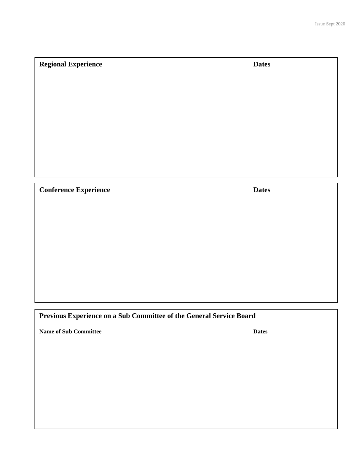## **Regional Experience Dates**

**Conference Experience Dates**

## **Previous Experience on a Sub Committee of the General Service Board**

**Name of Sub Committee Dates**